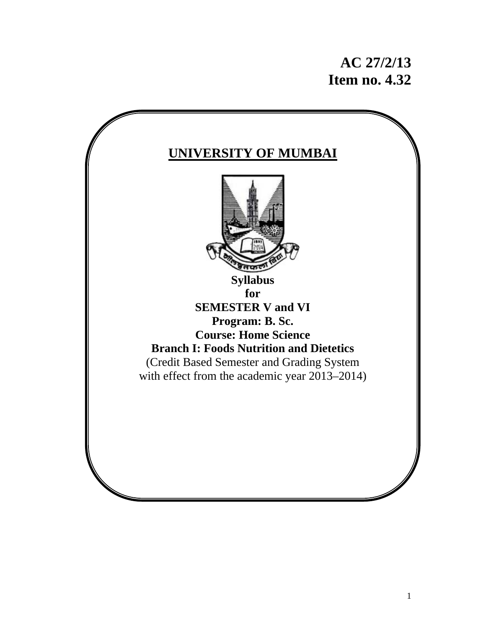# **AC 27/2/13 Item no. 4.32**

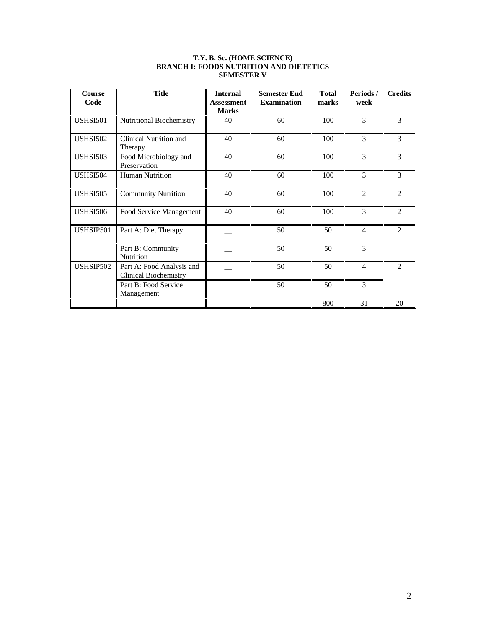| <b>Course</b><br>Code | <b>Title</b>                                              | <b>Internal</b><br>Assessment<br><b>Marks</b> | <b>Semester End</b><br><b>Examination</b> | <b>Total</b><br>marks | Periods/<br>week | <b>Credits</b> |
|-----------------------|-----------------------------------------------------------|-----------------------------------------------|-------------------------------------------|-----------------------|------------------|----------------|
| <b>USHSI501</b>       | Nutritional Biochemistry                                  | 40                                            | 60                                        | 100                   | 3                | 3              |
| <b>USHSI502</b>       | Clinical Nutrition and<br>Therapy                         | 40                                            | 60                                        | 100                   | 3                | 3              |
| <b>USHSI503</b>       | Food Microbiology and<br>Preservation                     | 40                                            | 60                                        | 100                   | 3                | 3              |
| <b>USHSI504</b>       | <b>Human Nutrition</b>                                    | 40                                            | 60                                        | 100                   | 3                | 3              |
| <b>USHSI505</b>       | <b>Community Nutrition</b>                                | 40                                            | 60                                        | 100                   | $\overline{2}$   | $\overline{c}$ |
| <b>USHSI506</b>       | Food Service Management                                   | 40                                            | 60                                        | 100                   | 3                | $\overline{2}$ |
| USHSIP501             | Part A: Diet Therapy                                      |                                               | 50                                        | 50                    | $\overline{4}$   | $\overline{2}$ |
|                       | Part B: Community<br>Nutrition                            |                                               | 50                                        | 50                    | 3                |                |
| USHSIP502             | Part A: Food Analysis and<br><b>Clinical Biochemistry</b> |                                               | 50                                        | 50                    | $\overline{4}$   | $\overline{2}$ |
|                       | Part B: Food Service<br>Management                        |                                               | 50                                        | 50                    | 3                |                |
|                       |                                                           |                                               |                                           | 800                   | 31               | 20             |

#### **T.Y. B. Sc. (HOME SCIENCE) BRANCH I: FOODS NUTRITION AND DIETETICS SEMESTER V**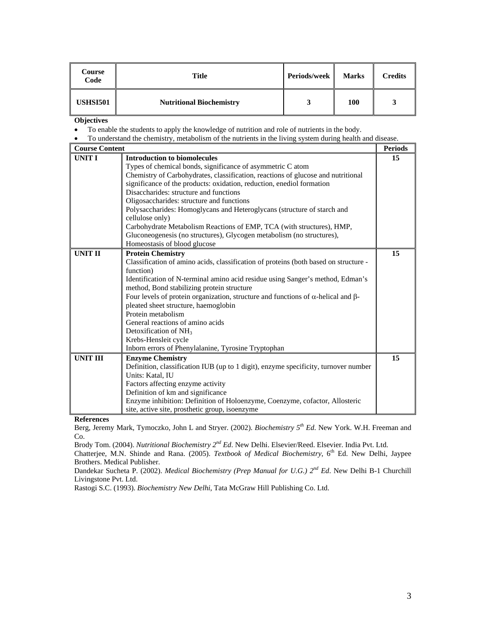| Course<br>Code  | Title                           | Periods/week | <b>Marks</b> | <b>Credits</b> |
|-----------------|---------------------------------|--------------|--------------|----------------|
| <b>USHSI501</b> | <b>Nutritional Biochemistry</b> |              | 100          |                |

• To enable the students to apply the knowledge of nutrition and role of nutrients in the body.

• To understand the chemistry, metabolism of the nutrients in the living system during health and disease.

| <b>Course Content</b> |                                                                                                 | <b>Periods</b> |
|-----------------------|-------------------------------------------------------------------------------------------------|----------------|
| <b>UNIT I</b>         | <b>Introduction to biomolecules</b>                                                             | 15             |
|                       | Types of chemical bonds, significance of asymmetric C atom                                      |                |
|                       | Chemistry of Carbohydrates, classification, reactions of glucose and nutritional                |                |
|                       | significance of the products: oxidation, reduction, enediol formation                           |                |
|                       | Disaccharides: structure and functions                                                          |                |
|                       | Oligosaccharides: structure and functions                                                       |                |
|                       | Polysaccharides: Homoglycans and Heteroglycans (structure of starch and                         |                |
|                       | cellulose only)                                                                                 |                |
|                       | Carbohydrate Metabolism Reactions of EMP, TCA (with structures), HMP,                           |                |
|                       | Gluconeogenesis (no structures), Glycogen metabolism (no structures),                           |                |
|                       | Homeostasis of blood glucose                                                                    |                |
| <b>UNIT II</b>        | <b>Protein Chemistry</b>                                                                        | 15             |
|                       | Classification of amino acids, classification of proteins (both based on structure -            |                |
|                       | function)                                                                                       |                |
|                       | Identification of N-terminal amino acid residue using Sanger's method, Edman's                  |                |
|                       | method, Bond stabilizing protein structure                                                      |                |
|                       | Four levels of protein organization, structure and functions of $\alpha$ -helical and $\beta$ - |                |
|                       | pleated sheet structure, haemoglobin                                                            |                |
|                       | Protein metabolism                                                                              |                |
|                       | General reactions of amino acids                                                                |                |
|                       | Detoxification of NH <sub>3</sub>                                                               |                |
|                       | Krebs-Hensleit cycle                                                                            |                |
|                       | Inborn errors of Phenylalanine, Tyrosine Tryptophan                                             |                |
| <b>UNIT III</b>       | <b>Enzyme Chemistry</b>                                                                         | 15             |
|                       | Definition, classification IUB (up to 1 digit), enzyme specificity, turnover number             |                |
|                       | Units: Katal, IU                                                                                |                |
|                       | Factors affecting enzyme activity                                                               |                |
|                       | Definition of km and significance                                                               |                |
|                       | Enzyme inhibition: Definition of Holoenzyme, Coenzyme, cofactor, Allosteric                     |                |
|                       | site, active site, prosthetic group, isoenzyme                                                  |                |

**References** 

Berg, Jeremy Mark, Tymoczko, John L and Stryer. (2002). *Biochemistry 5th Ed*. New York. W.H. Freeman and Co.

Brody Tom. (2004). *Nutritional Biochemistry 2nd Ed*. New Delhi. Elsevier/Reed. Elsevier. India Pvt. Ltd.

Chatterjee, M.N. Shinde and Rana. (2005). *Textbook of Medical Biochemistry*, 6<sup>th</sup> Ed. New Delhi, Jaypee Brothers. Medical Publisher.

Dandekar Sucheta P. (2002). *Medical Biochemistry (Prep Manual for U.G.) 2nd Ed*. New Delhi B-1 Churchill Livingstone Pvt. Ltd.

Rastogi S.C. (1993). *Biochemistry New Delhi*, Tata McGraw Hill Publishing Co. Ltd.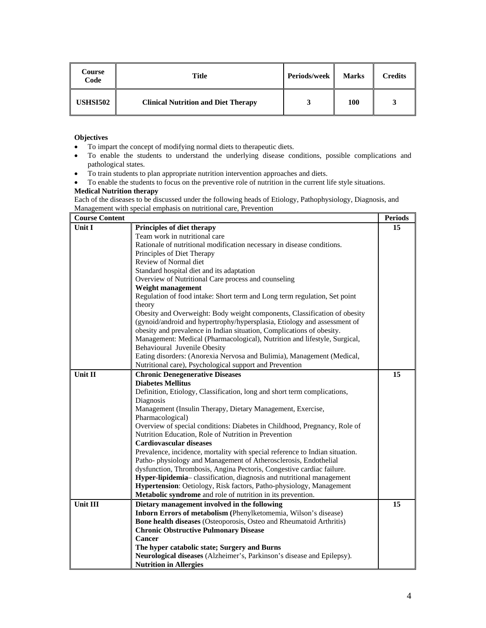| Course<br>Code  | Title                                      | Periods/week | <b>Marks</b> | <b>Credits</b> |
|-----------------|--------------------------------------------|--------------|--------------|----------------|
| <b>USHSI502</b> | <b>Clinical Nutrition and Diet Therapy</b> |              | 100          |                |

- To impart the concept of modifying normal diets to therapeutic diets.
- To enable the students to understand the underlying disease conditions, possible complications and pathological states.
- To train students to plan appropriate nutrition intervention approaches and diets.
- To enable the students to focus on the preventive role of nutrition in the current life style situations.

## **Medical Nutrition therapy**

Each of the diseases to be discussed under the following heads of Etiology, Pathophysiology, Diagnosis, and Management with special emphasis on nutritional care, Prevention

| <b>Course Content</b> |                                                                               | <b>Periods</b> |
|-----------------------|-------------------------------------------------------------------------------|----------------|
| <b>Unit I</b>         | Principles of diet therapy                                                    | 15             |
|                       | Team work in nutritional care                                                 |                |
|                       | Rationale of nutritional modification necessary in disease conditions.        |                |
|                       | Principles of Diet Therapy                                                    |                |
|                       | Review of Normal diet                                                         |                |
|                       | Standard hospital diet and its adaptation                                     |                |
|                       | Overview of Nutritional Care process and counseling                           |                |
|                       | Weight management                                                             |                |
|                       | Regulation of food intake: Short term and Long term regulation, Set point     |                |
|                       | theory                                                                        |                |
|                       | Obesity and Overweight: Body weight components, Classification of obesity     |                |
|                       | (gynoid/android and hypertrophy/hypersplasia, Etiology and assessment of      |                |
|                       | obesity and prevalence in Indian situation, Complications of obesity.         |                |
|                       | Management: Medical (Pharmacological), Nutrition and lifestyle, Surgical,     |                |
|                       | Behavioural Juvenile Obesity                                                  |                |
|                       | Eating disorders: (Anorexia Nervosa and Bulimia), Management (Medical,        |                |
|                       | Nutritional care), Psychological support and Prevention                       |                |
| Unit II               | <b>Chronic Denegenerative Diseases</b>                                        | 15             |
|                       | <b>Diabetes Mellitus</b>                                                      |                |
|                       | Definition, Etiology, Classification, long and short term complications,      |                |
|                       | Diagnosis                                                                     |                |
|                       | Management (Insulin Therapy, Dietary Management, Exercise,                    |                |
|                       | Pharmacological)                                                              |                |
|                       | Overview of special conditions: Diabetes in Childhood, Pregnancy, Role of     |                |
|                       | Nutrition Education, Role of Nutrition in Prevention                          |                |
|                       | <b>Cardiovascular diseases</b>                                                |                |
|                       | Prevalence, incidence, mortality with special reference to Indian situation.  |                |
|                       | Patho-physiology and Management of Atherosclerosis, Endothelial               |                |
|                       | dysfunction, Thrombosis, Angina Pectoris, Congestive cardiac failure.         |                |
|                       | <b>Hyper-lipidemia</b> – classification, diagnosis and nutritional management |                |
|                       | Hypertension: Oetiology, Risk factors, Patho-physiology, Management           |                |
|                       | Metabolic syndrome and role of nutrition in its prevention.                   |                |
| Unit III              | Dietary management involved in the following                                  | 15             |
|                       | Inborn Errors of metabolism (Phenylketomemia, Wilson's disease)               |                |
|                       | <b>Bone health diseases</b> (Osteoporosis, Osteo and Rheumatoid Arthritis)    |                |
|                       | <b>Chronic Obstructive Pulmonary Disease</b>                                  |                |
|                       | Cancer                                                                        |                |
|                       | The hyper catabolic state; Surgery and Burns                                  |                |
|                       | Neurological diseases (Alzheimer's, Parkinson's disease and Epilepsy).        |                |
|                       | <b>Nutrition in Allergies</b>                                                 |                |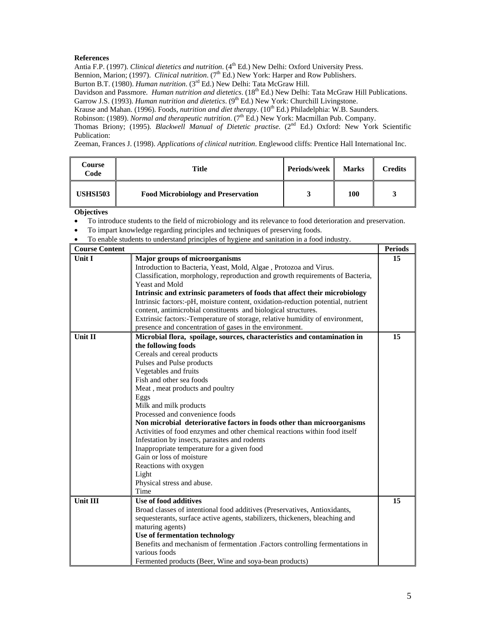Antia F.P. (1997). *Clinical dietetics and nutrition*. (4<sup>th</sup> Ed.) New Delhi: Oxford University Press. Bennion, Marion; (1997). *Clinical nutrition.* (7<sup>th</sup> Ed.) New York: Harper and Row Publishers.

Burton B.T. (1980). *Human nutrition*. (3rd Ed.) New Delhi: Tata McGraw Hill.

Davidson and Passmore. *Human nutrition and dietetics*. (18<sup>th</sup> Ed.) New Delhi: Tata McGraw Hill Publications. Garrow J.S. (1993). *Human nutrition and dietetics*. (9<sup>th</sup> Ed.) New York: Churchill Livingstone.

Krause and Mahan. (1996). Foods, *nutrition and diet therapy*. (10<sup>th</sup> Ed.) Philadelphia: W.B. Saunders.

Robinson: (1989). *Normal and therapeutic nutrition*. (7<sup>th</sup> Ed.) New York: Macmillan Pub. Company.

Thomas Briony; (1995). *Blackwell Manual of Dietetic practise*. (2<sup>nd</sup> Ed.) Oxford: New York Scientific Publication:

Zeeman, Frances J. (1998). *Applications of clinical nutrition*. Englewood cliffs: Prentice Hall International Inc.

| Course<br>Code  | Title                                     | Periods/week<br>- II | <b>Marks</b> | <b>Credits</b> |
|-----------------|-------------------------------------------|----------------------|--------------|----------------|
| <b>USHSI503</b> | <b>Food Microbiology and Preservation</b> |                      | 100          |                |

- To introduce students to the field of microbiology and its relevance to food deterioration and preservation.
- To impart knowledge regarding principles and techniques of preserving foods.
- To enable students to understand principles of hygiene and sanitation in a food industry.

| <b>Course Content</b> |                                                                                  | <b>Periods</b> |
|-----------------------|----------------------------------------------------------------------------------|----------------|
| Unit I                | Major groups of microorganisms                                                   | 15             |
|                       | Introduction to Bacteria, Yeast, Mold, Algae, Protozoa and Virus.                |                |
|                       | Classification, morphology, reproduction and growth requirements of Bacteria,    |                |
|                       | Yeast and Mold                                                                   |                |
|                       | Intrinsic and extrinsic parameters of foods that affect their microbiology       |                |
|                       | Intrinsic factors:-pH, moisture content, oxidation-reduction potential, nutrient |                |
|                       | content, antimicrobial constituents and biological structures.                   |                |
|                       | Extrinsic factors:-Temperature of storage, relative humidity of environment,     |                |
|                       | presence and concentration of gases in the environment.                          |                |
| <b>Unit II</b>        | Microbial flora, spoilage, sources, characteristics and contamination in         | 15             |
|                       | the following foods                                                              |                |
|                       | Cereals and cereal products                                                      |                |
|                       | Pulses and Pulse products                                                        |                |
|                       | Vegetables and fruits                                                            |                |
|                       | Fish and other sea foods                                                         |                |
|                       | Meat, meat products and poultry                                                  |                |
|                       | Eggs                                                                             |                |
|                       | Milk and milk products                                                           |                |
|                       | Processed and convenience foods                                                  |                |
|                       | Non microbial deteriorative factors in foods other than microorganisms           |                |
|                       | Activities of food enzymes and other chemical reactions within food itself       |                |
|                       | Infestation by insects, parasites and rodents                                    |                |
|                       | Inappropriate temperature for a given food                                       |                |
|                       | Gain or loss of moisture                                                         |                |
|                       | Reactions with oxygen                                                            |                |
|                       | Light                                                                            |                |
|                       | Physical stress and abuse.                                                       |                |
|                       | Time                                                                             |                |
| Unit III              | Use of food additives                                                            | 15             |
|                       | Broad classes of intentional food additives (Preservatives, Antioxidants,        |                |
|                       | sequesterants, surface active agents, stabilizers, thickeners, bleaching and     |                |
|                       | maturing agents)                                                                 |                |
|                       | Use of fermentation technology                                                   |                |
|                       | Benefits and mechanism of fermentation .Factors controlling fermentations in     |                |
|                       | various foods                                                                    |                |
|                       | Fermented products (Beer, Wine and soya-bean products)                           |                |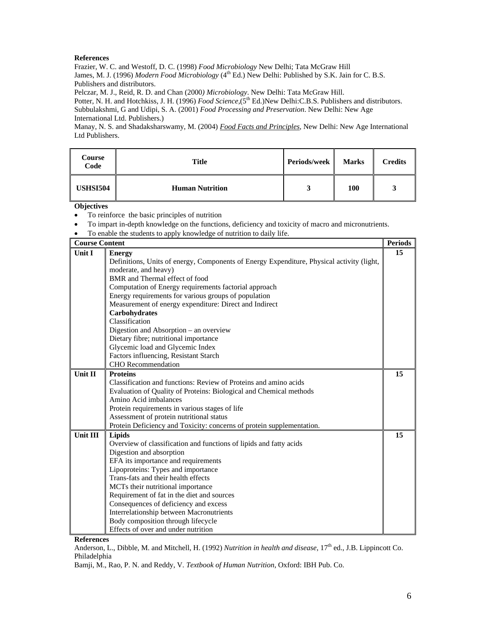Frazier, W. C. and Westoff, D. C. (1998) *Food Microbiology* New Delhi; Tata McGraw Hill James, M. J. (1996) *Modern Food Microbiology* (4<sup>th</sup> Ed.) New Delhi: Published by S.K. Jain for C. B.S. Publishers and distributors.

Pelczar, M. J., Reid, R. D. and Chan (2000*) Microbiology*. New Delhi: Tata McGraw Hill.

Potter, N. H. and Hotchkiss, J. H. (1996) *Food Science*,(5<sup>th</sup> Ed.)New Delhi:C.B.S. Publishers and distributors. Subbulakshmi, G and Udipi, S. A. (2001) *Food Processing and Preservation*. New Delhi: New Age International Ltd. Publishers.)

Manay, N. S. and Shadaksharswamy, M. (2004) *Food Facts and Principles,* New Delhi: New Age International Ltd Publishers.

| Course<br>Code  | Title                  | Periods/week | <b>Marks</b> | <b>Credits</b> |
|-----------------|------------------------|--------------|--------------|----------------|
| <b>USHSI504</b> | <b>Human Nutrition</b> | 3            | 100          |                |

**Objectives** 

- To reinforce the basic principles of nutrition
- To impart in-depth knowledge on the functions, deficiency and toxicity of macro and micronutrients.
- To enable the students to apply knowledge of nutrition to daily life.

| <b>Course Content</b> |                                                                                           | <b>Periods</b> |
|-----------------------|-------------------------------------------------------------------------------------------|----------------|
| Unit I                | <b>Energy</b>                                                                             | 15             |
|                       | Definitions, Units of energy, Components of Energy Expenditure, Physical activity (light, |                |
|                       | moderate, and heavy)                                                                      |                |
|                       | BMR and Thermal effect of food                                                            |                |
|                       | Computation of Energy requirements factorial approach                                     |                |
|                       | Energy requirements for various groups of population                                      |                |
|                       | Measurement of energy expenditure: Direct and Indirect                                    |                |
|                       | Carbohydrates                                                                             |                |
|                       | Classification                                                                            |                |
|                       | Digestion and Absorption - an overview                                                    |                |
|                       | Dietary fibre; nutritional importance                                                     |                |
|                       | Glycemic load and Glycemic Index                                                          |                |
|                       | Factors influencing, Resistant Starch                                                     |                |
|                       | <b>CHO</b> Recommendation                                                                 |                |
| <b>Unit II</b>        | <b>Proteins</b>                                                                           | 15             |
|                       | Classification and functions: Review of Proteins and amino acids                          |                |
|                       | Evaluation of Quality of Proteins: Biological and Chemical methods                        |                |
|                       | Amino Acid imbalances                                                                     |                |
|                       | Protein requirements in various stages of life                                            |                |
|                       | Assessment of protein nutritional status                                                  |                |
|                       | Protein Deficiency and Toxicity: concerns of protein supplementation.                     |                |
| Unit III              | Lipids                                                                                    | 15             |
|                       | Overview of classification and functions of lipids and fatty acids                        |                |
|                       | Digestion and absorption                                                                  |                |
|                       | EFA its importance and requirements                                                       |                |
|                       | Lipoproteins: Types and importance                                                        |                |
|                       | Trans-fats and their health effects                                                       |                |
|                       | MCTs their nutritional importance                                                         |                |
|                       | Requirement of fat in the diet and sources                                                |                |
|                       | Consequences of deficiency and excess                                                     |                |
|                       | Interrelationship between Macronutrients                                                  |                |
|                       | Body composition through lifecycle                                                        |                |
|                       | Effects of over and under nutrition                                                       |                |

**References** 

Anderson, L., Dibble, M. and Mitchell, H. (1992) *Nutrition in health and disease*, 17<sup>th</sup> ed., J.B. Lippincott Co. Philadelphia

Bamji, M., Rao, P. N. and Reddy, V. *Textbook of Human Nutrition*, Oxford: IBH Pub. Co.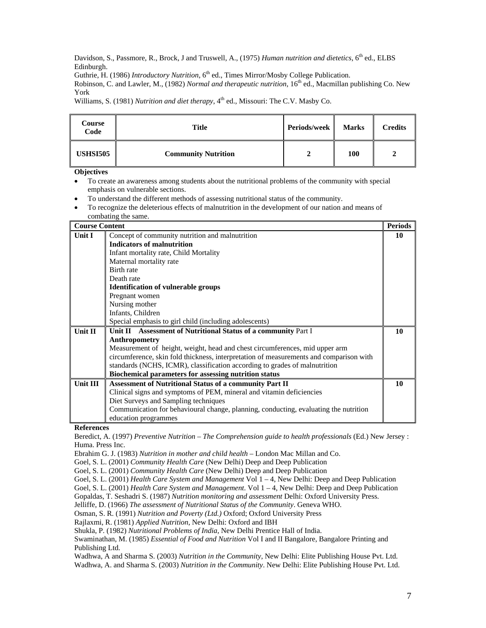Davidson, S., Passmore, R., Brock, J and Truswell, A., (1975) *Human nutrition and dietetics*, 6<sup>th</sup> ed., ELBS Edinburgh.

Guthrie, H. (1986) *Introductory Nutrition*, 6<sup>th</sup> ed., Times Mirror/Mosby College Publication.

Robinson, C. and Lawler, M., (1982) *Normal and therapeutic nutrition*, 16<sup>th</sup> ed., Macmillan publishing Co. New York

Williams, S. (1981) *Nutrition and diet therapy*, 4<sup>th</sup> ed., Missouri: The C.V. Masby Co.

| Course<br>Code  | <b>Title</b>               | Periods/week | <b>Marks</b> | <b>Credits</b> |
|-----------------|----------------------------|--------------|--------------|----------------|
| <b>USHSI505</b> | <b>Community Nutrition</b> |              | 100          |                |

**Objectives** 

- To create an awareness among students about the nutritional problems of the community with special emphasis on vulnerable sections.
- To understand the different methods of assessing nutritional status of the community.
- To recognize the deleterious effects of malnutrition in the development of our nation and means of combating the same.

| <b>Course Content</b> |                                                                                        | <b>Periods</b> |
|-----------------------|----------------------------------------------------------------------------------------|----------------|
| <b>Unit I</b>         | Concept of community nutrition and malnutrition                                        | 10             |
|                       | <b>Indicators of malnutrition</b>                                                      |                |
|                       | Infant mortality rate, Child Mortality                                                 |                |
|                       | Maternal mortality rate                                                                |                |
|                       | Birth rate                                                                             |                |
|                       | Death rate                                                                             |                |
|                       | <b>Identification of vulnerable groups</b>                                             |                |
|                       | Pregnant women                                                                         |                |
|                       | Nursing mother                                                                         |                |
|                       | Infants, Children                                                                      |                |
|                       | Special emphasis to girl child (including adolescents)                                 |                |
| Unit II               | Unit II Assessment of Nutritional Status of a community Part I                         | 10             |
|                       | Anthropometry                                                                          |                |
|                       | Measurement of height, weight, head and chest circumferences, mid upper arm            |                |
|                       | circumference, skin fold thickness, interpretation of measurements and comparison with |                |
|                       | standards (NCHS, ICMR), classification according to grades of malnutrition             |                |
|                       | Biochemical parameters for assessing nutrition status                                  |                |
| Unit III              | <b>Assessment of Nutritional Status of a community Part II</b>                         | 10             |
|                       | Clinical signs and symptoms of PEM, mineral and vitamin deficiencies                   |                |
|                       | Diet Surveys and Sampling techniques                                                   |                |
|                       | Communication for behavioural change, planning, conducting, evaluating the nutrition   |                |
|                       | education programmes                                                                   |                |

**References** 

Beredict, A. (1997) *Preventive Nutrition – The Comprehension guide to health professionals* (Ed.) New Jersey : Huma. Press Inc.

Ebrahim G. J. (1983) *Nutrition in mother and child health* – London Mac Millan and Co.

Goel, S. L. (2001) *Community Health Care* (New Delhi) Deep and Deep Publication

Goel, S. L. (2001) *Community Health Care* (New Delhi) Deep and Deep Publication

Goel, S. L. (2001) *Health Care System and Management* Vol 1 – 4, New Delhi: Deep and Deep Publication

Goel, S. L. (2001) *Health Care System and Management.* Vol 1 – 4, New Delhi: Deep and Deep Publication

Gopaldas, T. Seshadri S. (1987) *Nutrition monitoring and assessment* Delhi: Oxford University Press.

Jelliffe, D. (1966) *The assessment of Nutritional Status of the Community*. Geneva WHO.

Osman, S. R. (1991) *Nutrition and Poverty (Ltd.)* Oxford; Oxford University Press

Rajlaxmi, R. (1981) *Applied Nutrition*, New Delhi: Oxford and IBH

Shukla, P. (1982) *Nutritional Problems of India*, New Delhi Prentice Hall of India.

Swaminathan, M. (1985) *Essential of Food and Nutrition* Vol I and II Bangalore, Bangalore Printing and Publishing Ltd.

Wadhwa, A and Sharma S. (2003) *Nutrition in the Community*, New Delhi: Elite Publishing House Pvt. Ltd. Wadhwa, A. and Sharma S. (2003) *Nutrition in the Community*. New Delhi: Elite Publishing House Pvt. Ltd.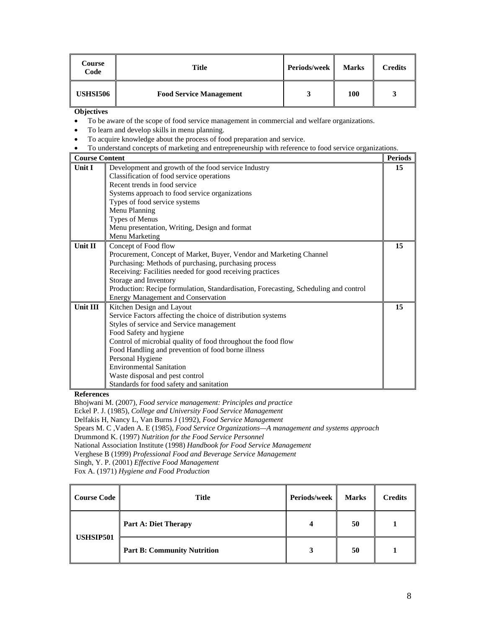| Course<br>Code  | <b>Title</b>                   | Periods/week | <b>Marks</b> | <b>Credits</b> |
|-----------------|--------------------------------|--------------|--------------|----------------|
| <b>USHSI506</b> | <b>Food Service Management</b> |              | 100          |                |

• To be aware of the scope of food service management in commercial and welfare organizations.

- To learn and develop skills in menu planning.
- To acquire knowledge about the process of food preparation and service.
- To understand concepts of marketing and entrepreneurship with reference to food service organizations.

| <b>Course Content</b> |                                                                                      | <b>Periods</b> |
|-----------------------|--------------------------------------------------------------------------------------|----------------|
| Unit $I$              | Development and growth of the food service Industry                                  | 15             |
|                       | Classification of food service operations                                            |                |
|                       | Recent trends in food service                                                        |                |
|                       | Systems approach to food service organizations                                       |                |
|                       | Types of food service systems                                                        |                |
|                       | Menu Planning                                                                        |                |
|                       | Types of Menus                                                                       |                |
|                       | Menu presentation, Writing, Design and format                                        |                |
|                       | Menu Marketing                                                                       |                |
| Unit II               | Concept of Food flow                                                                 | 15             |
|                       | Procurement, Concept of Market, Buyer, Vendor and Marketing Channel                  |                |
|                       | Purchasing: Methods of purchasing, purchasing process                                |                |
|                       | Receiving: Facilities needed for good receiving practices                            |                |
|                       | Storage and Inventory                                                                |                |
|                       | Production: Recipe formulation, Standardisation, Forecasting, Scheduling and control |                |
|                       | <b>Energy Management and Conservation</b>                                            |                |
| Unit III              | Kitchen Design and Layout                                                            | 15             |
|                       | Service Factors affecting the choice of distribution systems                         |                |
|                       | Styles of service and Service management                                             |                |
|                       | Food Safety and hygiene                                                              |                |
|                       | Control of microbial quality of food throughout the food flow                        |                |
|                       | Food Handling and prevention of food borne illness                                   |                |
|                       | Personal Hygiene                                                                     |                |
|                       | <b>Environmental Sanitation</b>                                                      |                |
|                       | Waste disposal and pest control                                                      |                |
|                       | Standards for food safety and sanitation                                             |                |

**References** 

Bhojwani M. (2007), *Food service management: Principles and practice*  Eckel P. J. (1985), *College and University Food Service Management* Delfakis H, Nancy L, Van Burns J (1992), *Food Service Management* Spears M. C ,Vaden A. E (1985), *Food Service Organizations—A management and systems approach* Drummond K. (1997) *Nutrition for the Food Service Personnel* National Association Institute (1998) *Handbook for Food Service Management* Verghese B (1999) *Professional Food and Beverage Service Management* Singh, Y. P. (2001) *Effective Food Management*

Fox A. (1971) *Hygiene and Food Production* 

| <b>Course Code</b> | <b>Title</b>                       | Periods/week<br><b>Marks</b> |    | <b>Credits</b> |
|--------------------|------------------------------------|------------------------------|----|----------------|
| <b>USHSIP501</b>   | <b>Part A: Diet Therapy</b>        | Δ                            | 50 |                |
|                    | <b>Part B: Community Nutrition</b> | 3                            | 50 |                |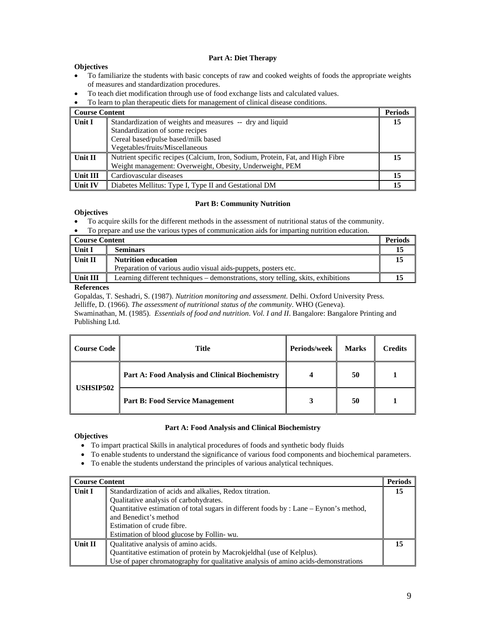#### **Part A: Diet Therapy**

# **Objectives**

- To familiarize the students with basic concepts of raw and cooked weights of foods the appropriate weights of measures and standardization procedures.
- To teach diet modification through use of food exchange lists and calculated values.
- To learn to plan therapeutic diets for management of clinical disease conditions.

| <b>Course Content</b> |                                                                                                                                                                        | <b>Periods</b> |
|-----------------------|------------------------------------------------------------------------------------------------------------------------------------------------------------------------|----------------|
| Unit I                | Standardization of weights and measures -- dry and liquid<br>Standardization of some recipes<br>Cereal based/pulse based/milk based<br>Vegetables/fruits/Miscellaneous | 15             |
| Unit II               | Nutrient specific recipes (Calcium, Iron, Sodium, Protein, Fat, and High Fibre<br>Weight management: Overweight, Obesity, Underweight, PEM                             | 15             |
| Unit III              | Cardiovascular diseases                                                                                                                                                | 15             |
| Unit IV               | Diabetes Mellitus: Type I, Type II and Gestational DM                                                                                                                  | 15             |

# **Part B: Community Nutrition**

## **Objectives**

- To acquire skills for the different methods in the assessment of nutritional status of the community.
- To prepare and use the various types of communication aids for imparting nutrition education.

| <b>Course Content</b> |                                                                                   | <b>Periods</b> |
|-----------------------|-----------------------------------------------------------------------------------|----------------|
| Unit I                | <b>Seminars</b>                                                                   |                |
| Unit II               | <b>Nutrition education</b>                                                        |                |
|                       | Preparation of various audio visual aids-puppets, posters etc.                    |                |
| Unit III              | Learning different techniques – demonstrations, story telling, skits, exhibitions |                |

## **References**

Gopaldas, T. Seshadri, S. (1987). *Nutrition monitoring and assessment*. Delhi. Oxford University Press. Jelliffe, D. (1966). *The assessment of nutritional status of the community*. WHO (Geneva).

Swaminathan, M. (1985). *Essentials of food and nutrition*. *Vol. I and II*. Bangalore: Bangalore Printing and Publishing Ltd.

| <b>Course Code</b> | Title                                           | <b>Periods/week</b> | <b>Marks</b> | <b>Credits</b> |
|--------------------|-------------------------------------------------|---------------------|--------------|----------------|
| <b>USHSIP502</b>   | Part A: Food Analysis and Clinical Biochemistry |                     | 50           |                |
|                    | <b>Part B: Food Service Management</b>          | 3                   | 50           |                |

# **Part A: Food Analysis and Clinical Biochemistry**

- To impart practical Skills in analytical procedures of foods and synthetic body fluids
- To enable students to understand the significance of various food components and biochemical parameters.
- To enable the students understand the principles of various analytical techniques.

| <b>Course Content</b> |                                                                                        | <b>Periods</b> |
|-----------------------|----------------------------------------------------------------------------------------|----------------|
| <b>Unit I</b>         | Standardization of acids and alkalies, Redox titration.                                | 15             |
|                       | Qualitative analysis of carbohydrates.                                                 |                |
|                       | Quantitative estimation of total sugars in different foods by : Lane - Eynon's method, |                |
|                       | and Benedict's method                                                                  |                |
|                       | Estimation of crude fibre.                                                             |                |
|                       | Estimation of blood glucose by Follin- wu.                                             |                |
| Unit II               | Qualitative analysis of amino acids.                                                   | 15             |
|                       | Quantitative estimation of protein by Macrokjeldhal (use of Kelplus).                  |                |
|                       | Use of paper chromatography for qualitative analysis of amino acids-demonstrations     |                |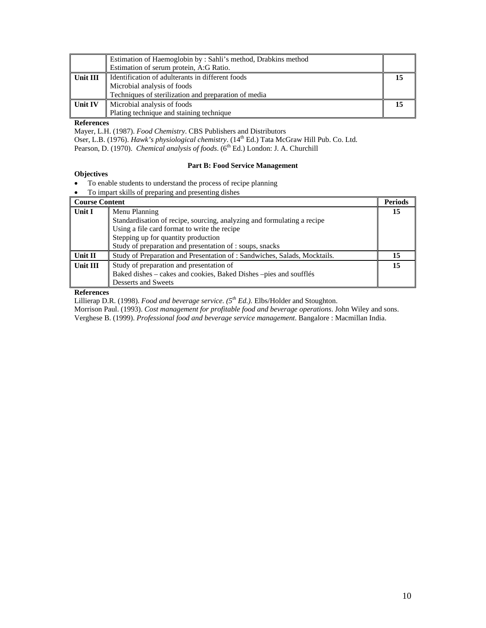|                | Estimation of Haemoglobin by: Sahli's method, Drabkins method |  |
|----------------|---------------------------------------------------------------|--|
|                | Estimation of serum protein, A:G Ratio.                       |  |
| Unit III       | Identification of adulterants in different foods              |  |
|                | Microbial analysis of foods                                   |  |
|                | Techniques of sterilization and preparation of media          |  |
| <b>Unit IV</b> | Microbial analysis of foods                                   |  |
|                | Plating technique and staining technique                      |  |

Mayer, L.H. (1987). *Food Chemistry*. CBS Publishers and Distributors Oser, L.B. (1976). *Hawk's physiological chemistry*. (14<sup>th</sup> Ed.) Tata McGraw Hill Pub. Co. Ltd. Pearson, D. (1970). *Chemical analysis of foods*. (6<sup>th</sup> Ed.) London: J. A. Churchill

# **Part B: Food Service Management**

# **Objectives**

- To enable students to understand the process of recipe planning
- To impart skills of preparing and presenting dishes

| <b>Course Content</b> |                                                                          | <b>Periods</b> |
|-----------------------|--------------------------------------------------------------------------|----------------|
| Unit I                | Menu Planning                                                            | 15             |
|                       | Standardisation of recipe, sourcing, analyzing and formulating a recipe  |                |
|                       | Using a file card format to write the recipe                             |                |
|                       | Stepping up for quantity production                                      |                |
|                       | Study of preparation and presentation of : soups, snacks                 |                |
| Unit $\Pi$            | Study of Preparation and Presentation of: Sandwiches, Salads, Mocktails. | 15             |
| <b>Unit III</b>       | Study of preparation and presentation of                                 | 15             |
|                       | Baked dishes – cakes and cookies, Baked Dishes – pies and soufflés       |                |
|                       | Desserts and Sweets                                                      |                |

# **References**

Lillierap D.R. (1998). *Food and beverage service. (5th Ed.).* Elbs/Holder and Stoughton.

Morrison Paul. (1993). *Cost management for profitable food and beverage operations*. John Wiley and sons.

Verghese B. (1999). *Professional food and beverage service management*. Bangalore : Macmillan India.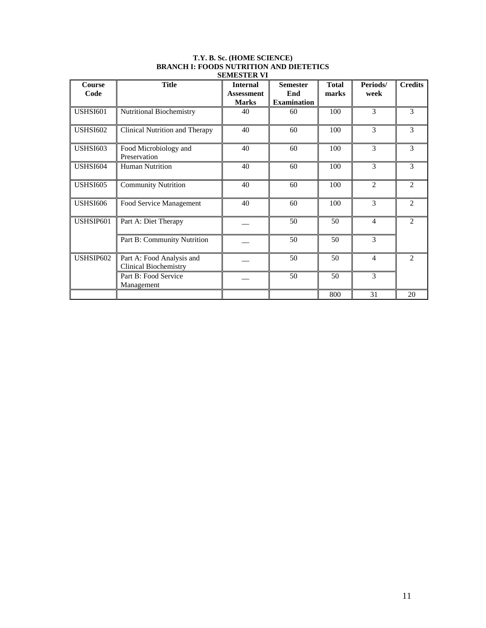| <b>Course</b><br>Code | <b>Title</b>                                              | <b>Internal</b><br><b>Assessment</b> | <b>Semester</b><br>End | <b>Total</b><br>marks | Periods/<br>week | <b>Credits</b>              |
|-----------------------|-----------------------------------------------------------|--------------------------------------|------------------------|-----------------------|------------------|-----------------------------|
|                       |                                                           | <b>Marks</b>                         | <b>Examination</b>     |                       |                  |                             |
| <b>USHSI601</b>       | <b>Nutritional Biochemistry</b>                           | 40                                   | 60                     | 100                   | $\mathcal{F}$    | 3                           |
| <b>USHSI602</b>       | Clinical Nutrition and Therapy                            | 40                                   | 60                     | 100                   | 3                | 3                           |
| <b>USHSI603</b>       | Food Microbiology and<br>Preservation                     | 40                                   | 60                     | 100                   | 3                | 3                           |
| <b>USHSI604</b>       | <b>Human Nutrition</b>                                    | 40                                   | 60                     | 100                   | 3                | 3                           |
| <b>USHSI605</b>       | <b>Community Nutrition</b>                                | 40                                   | 60                     | 100                   | $\overline{2}$   | $\overline{2}$              |
| <b>USHSI606</b>       | Food Service Management                                   | 40                                   | 60                     | 100                   | 3                | $\overline{2}$              |
| USHSIP601             | Part A: Diet Therapy                                      |                                      | 50                     | 50                    | $\overline{4}$   | 2                           |
|                       | Part B: Community Nutrition                               |                                      | 50                     | 50                    | 3                |                             |
| USHSIP602             | Part A: Food Analysis and<br><b>Clinical Biochemistry</b> |                                      | 50                     | 50                    | $\overline{4}$   | $\mathcal{D}_{\mathcal{L}}$ |
|                       | Part B: Food Service<br>Management                        |                                      | 50                     | 50                    | 3                |                             |
|                       |                                                           |                                      |                        | 800                   | 31               | 20                          |

#### **T.Y. B. Sc. (HOME SCIENCE) BRANCH I: FOODS NUTRITION AND DIETETICS SEMESTER VI**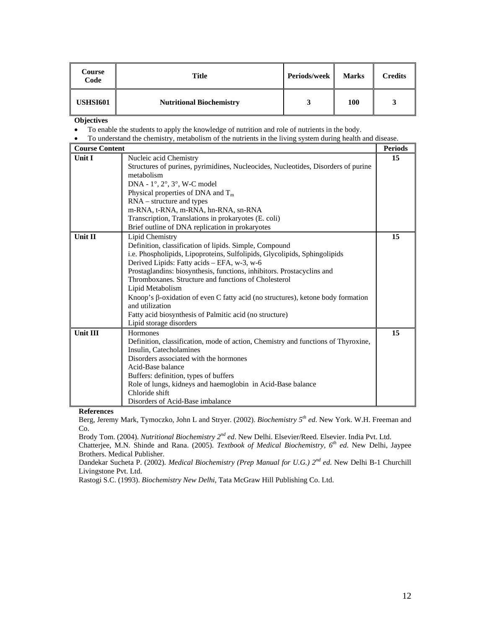| Course<br>Code  | Title                           | Periods/week | <b>Marks</b> | <b>Credits</b> |
|-----------------|---------------------------------|--------------|--------------|----------------|
| <b>USHSI601</b> | <b>Nutritional Biochemistry</b> |              | 100          |                |

- To enable the students to apply the knowledge of nutrition and role of nutrients in the body.
- To understand the chemistry, metabolism of the nutrients in the living system during health and disease.

| <b>Course Content</b> |                                                                                                    | <b>Periods</b> |
|-----------------------|----------------------------------------------------------------------------------------------------|----------------|
| <b>Unit I</b>         | Nucleic acid Chemistry                                                                             | 15             |
|                       | Structures of purines, pyrimidines, Nucleocides, Nucleotides, Disorders of purine                  |                |
|                       | metabolism                                                                                         |                |
|                       | DNA - 1°, 2°, 3°, W-C model                                                                        |                |
|                       | Physical properties of DNA and $T_m$                                                               |                |
|                       | $RNA - structure$ and types                                                                        |                |
|                       | m-RNA, t-RNA, m-RNA, hn-RNA, sn-RNA                                                                |                |
|                       | Transcription, Translations in prokaryotes (E. coli)                                               |                |
|                       | Brief outline of DNA replication in prokaryotes                                                    |                |
| <b>Unit II</b>        | Lipid Chemistry                                                                                    | 15             |
|                       | Definition, classification of lipids. Simple, Compound                                             |                |
|                       | i.e. Phospholipids, Lipoproteins, Sulfolipids, Glycolipids, Sphingolipids                          |                |
|                       | Derived Lipids: Fatty acids - EFA, w-3, w-6                                                        |                |
|                       | Prostaglandins: biosynthesis, functions, inhibitors. Prostacyclins and                             |                |
|                       | Thromboxanes. Structure and functions of Cholesterol                                               |                |
|                       | Lipid Metabolism                                                                                   |                |
|                       | Knoop's β-oxidation of even C fatty acid (no structures), ketone body formation<br>and utilization |                |
|                       | Fatty acid biosynthesis of Palmitic acid (no structure)                                            |                |
|                       | Lipid storage disorders                                                                            |                |
| <b>Unit III</b>       | <b>Hormones</b>                                                                                    | 15             |
|                       | Definition, classification, mode of action, Chemistry and functions of Thyroxine,                  |                |
|                       | Insulin, Catecholamines                                                                            |                |
|                       | Disorders associated with the hormones                                                             |                |
|                       | Acid-Base balance                                                                                  |                |
|                       | Buffers: definition, types of buffers                                                              |                |
|                       | Role of lungs, kidneys and haemoglobin in Acid-Base balance                                        |                |
|                       | Chloride shift                                                                                     |                |
|                       | Disorders of Acid-Base imbalance                                                                   |                |

**References** 

Berg, Jeremy Mark, Tymoczko, John L and Stryer. (2002). *Biochemistry 5th ed*. New York. W.H. Freeman and Co.

Brody Tom. (2004). *Nutritional Biochemistry 2nd ed*. New Delhi. Elsevier/Reed. Elsevier. India Pvt. Ltd.

Chatterjee, M.N. Shinde and Rana. (2005). *Textbook of Medical Biochemistry, 6th ed*. New Delhi, Jaypee Brothers. Medical Publisher.

Dandekar Sucheta P. (2002). *Medical Biochemistry (Prep Manual for U.G.) 2nd ed*. New Delhi B-1 Churchill Livingstone Pvt. Ltd.

Rastogi S.C. (1993). *Biochemistry New Delhi*, Tata McGraw Hill Publishing Co. Ltd.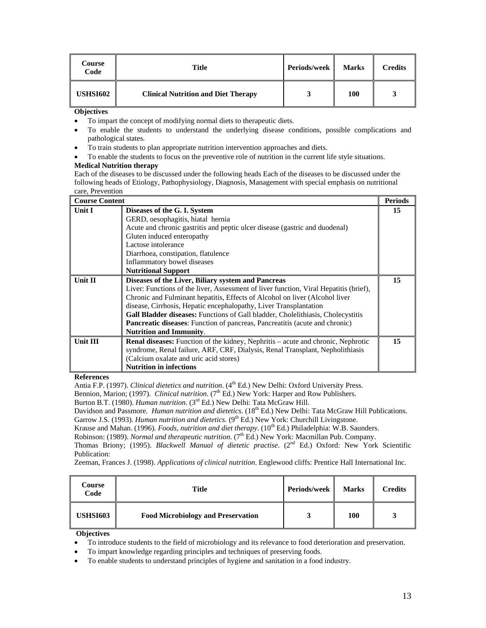| Course<br>Code  | Title                                      | Periods/week | <b>Marks</b> | <b>Credits</b> |
|-----------------|--------------------------------------------|--------------|--------------|----------------|
| <b>USHSI602</b> | <b>Clinical Nutrition and Diet Therapy</b> |              | 100          |                |

- To impart the concept of modifying normal diets to therapeutic diets.
- To enable the students to understand the underlying disease conditions, possible complications and pathological states.
- To train students to plan appropriate nutrition intervention approaches and diets.
- To enable the students to focus on the preventive role of nutrition in the current life style situations.

## **Medical Nutrition therapy**

Each of the diseases to be discussed under the following heads Each of the diseases to be discussed under the following heads of Etiology, Pathophysiology, Diagnosis, Management with special emphasis on nutritional care, Prevention

| <b>Course Content</b> |                                                                                         | <b>Periods</b> |
|-----------------------|-----------------------------------------------------------------------------------------|----------------|
| Unit I                | Diseases of the G. I. System                                                            | 15             |
|                       | GERD, oesophagitis, hiatal hernia                                                       |                |
|                       | Acute and chronic gastritis and peptic ulcer disease (gastric and duodenal)             |                |
|                       | Gluten induced enteropathy                                                              |                |
|                       | Lactose intolerance                                                                     |                |
|                       | Diarrhoea, constipation, flatulence                                                     |                |
|                       | Inflammatory bowel diseases                                                             |                |
|                       | <b>Nutritional Support</b>                                                              |                |
| Unit II               | Diseases of the Liver, Biliary system and Pancreas                                      | 15             |
|                       | Liver: Functions of the liver, Assessment of liver function, Viral Hepatitis (brief),   |                |
|                       | Chronic and Fulminant hepatitis, Effects of Alcohol on liver (Alcohol liver             |                |
|                       | disease, Cirrhosis, Hepatic encephalopathy, Liver Transplantation                       |                |
|                       | <b>Gall Bladder diseases:</b> Functions of Gall bladder, Cholelithiasis, Cholecystitis  |                |
|                       | <b>Pancreatic diseases:</b> Function of pancreas, Pancreatitis (acute and chronic)      |                |
|                       | <b>Nutrition and Immunity.</b>                                                          |                |
| Unit III              | <b>Renal diseases:</b> Function of the kidney, Nephritis – acute and chronic, Nephrotic | 15             |
|                       | syndrome, Renal failure, ARF, CRF, Dialysis, Renal Transplant, Nepholithiasis           |                |
|                       | (Calcium oxalate and uric acid stores)                                                  |                |
|                       | <b>Nutrition in infections</b>                                                          |                |

#### **References**

Antia F.P. (1997). *Clinical dietetics and nutrition*. (4<sup>th</sup> Ed.) New Delhi: Oxford University Press.

Bennion, Marion; (1997). *Clinical nutrition*. (7<sup>th</sup> Ed.) New York: Harper and Row Publishers.

Burton B.T. (1980). *Human nutrition*. (3rd Ed.) New Delhi: Tata McGraw Hill.

Davidson and Passmore. *Human nutrition and dietetics*. (18<sup>th</sup> Ed.) New Delhi: Tata McGraw Hill Publications.

Garrow J.S. (1993). *Human nutrition and dietetics.* (9<sup>th</sup> Ed.) New York: Churchill Livingstone.

Krause and Mahan. (1996). *Foods, nutrition and diet therapy*. (10<sup>th</sup> Ed.) Philadelphia: W.B. Saunders.

Robinson: (1989). *Normal and therapeutic nutrition*. (7<sup>th</sup> Ed.) New York: Macmillan Pub. Company.

Thomas Briony; (1995). *Blackwell Manual of dietetic practise*. (2<sup>nd</sup> Ed.) Oxford: New York Scientific Publication:

Zeeman, Frances J. (1998). *Applications of clinical nutrition*. Englewood cliffs: Prentice Hall International Inc.

| Course<br>Code  | Title                                     | <b>Periods/week</b> | <b>Marks</b> | Credits |
|-----------------|-------------------------------------------|---------------------|--------------|---------|
| <b>USHSI603</b> | <b>Food Microbiology and Preservation</b> |                     | 100          |         |

- To introduce students to the field of microbiology and its relevance to food deterioration and preservation.
- To impart knowledge regarding principles and techniques of preserving foods.
- To enable students to understand principles of hygiene and sanitation in a food industry.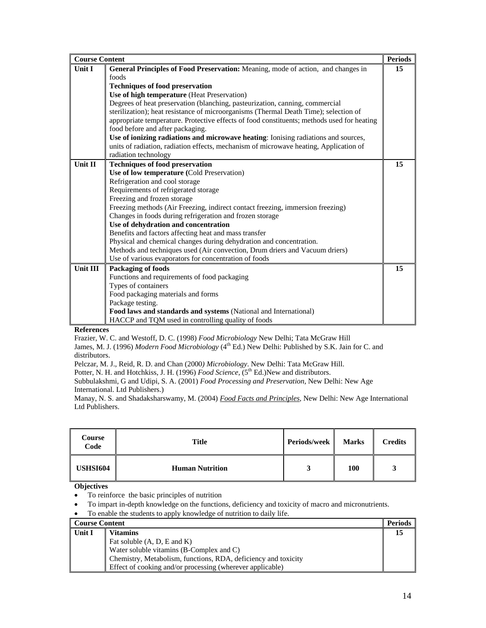| <b>Course Content</b> |                                                                                            | <b>Periods</b> |
|-----------------------|--------------------------------------------------------------------------------------------|----------------|
| <b>Unit I</b>         | General Principles of Food Preservation: Meaning, mode of action, and changes in           | 15             |
|                       | foods                                                                                      |                |
|                       | <b>Techniques of food preservation</b>                                                     |                |
|                       | Use of high temperature (Heat Preservation)                                                |                |
|                       | Degrees of heat preservation (blanching, pasteurization, canning, commercial               |                |
|                       | sterilization); heat resistance of microorganisms (Thermal Death Time); selection of       |                |
|                       | appropriate temperature. Protective effects of food constituents; methods used for heating |                |
|                       | food before and after packaging.                                                           |                |
|                       | Use of ionizing radiations and microwave heating: Ionising radiations and sources,         |                |
|                       | units of radiation, radiation effects, mechanism of microwave heating, Application of      |                |
|                       | radiation technology                                                                       |                |
| Unit II               | <b>Techniques of food preservation</b>                                                     | 15             |
|                       | Use of low temperature (Cold Preservation)                                                 |                |
|                       | Refrigeration and cool storage                                                             |                |
|                       | Requirements of refrigerated storage                                                       |                |
|                       | Freezing and frozen storage                                                                |                |
|                       | Freezing methods (Air Freezing, indirect contact freezing, immersion freezing)             |                |
|                       | Changes in foods during refrigeration and frozen storage                                   |                |
|                       | Use of dehydration and concentration                                                       |                |
|                       | Benefits and factors affecting heat and mass transfer                                      |                |
|                       | Physical and chemical changes during dehydration and concentration.                        |                |
|                       | Methods and techniques used (Air convection, Drum driers and Vacuum driers)                |                |
|                       | Use of various evaporators for concentration of foods                                      |                |
| Unit III              | <b>Packaging of foods</b>                                                                  | 15             |
|                       | Functions and requirements of food packaging                                               |                |
|                       | Types of containers                                                                        |                |
|                       | Food packaging materials and forms                                                         |                |
|                       | Package testing.                                                                           |                |
|                       | Food laws and standards and systems (National and International)                           |                |
|                       | HACCP and TQM used in controlling quality of foods                                         |                |

Frazier, W. C. and Westoff, D. C. (1998) *Food Microbiology* New Delhi; Tata McGraw Hill

James, M. J. (1996) *Modern Food Microbiology* (4<sup>th</sup> Ed.) New Delhi: Published by S.K. Jain for C. and distributors.

Pelczar, M. J., Reid, R. D. and Chan (2000*) Microbiology*. New Delhi: Tata McGraw Hill.

Potter, N. H. and Hotchkiss, J. H. (1996) *Food Science*, (5<sup>th</sup> Ed.)New and distributors.

Subbulakshmi, G and Udipi, S. A. (2001) *Food Processing and Preservation*, New Delhi: New Age International. Ltd Publishers.)

Manay, N. S. and Shadaksharswamy, M. (2004) *Food Facts and Principles,* New Delhi: New Age International Ltd Publishers.

| Course<br>Code  | <b>Title</b>           | Periods/week | <b>Marks</b> | <b>Credits</b> |
|-----------------|------------------------|--------------|--------------|----------------|
| <b>USHSI604</b> | <b>Human Nutrition</b> | - 1          | 100          | ມ              |

- To reinforce the basic principles of nutrition
- To impart in-depth knowledge on the functions, deficiency and toxicity of macro and micronutrients.
- To enable the students to apply knowledge of nutrition to daily life.

| <b>Course Content</b> |                                                                | Periods |
|-----------------------|----------------------------------------------------------------|---------|
| Unit I                | <b>Vitamins</b>                                                |         |
|                       | Fat soluble $(A, D, E \text{ and } K)$                         |         |
|                       | Water soluble vitamins (B-Complex and C)                       |         |
|                       | Chemistry, Metabolism, functions, RDA, deficiency and toxicity |         |
|                       | Effect of cooking and/or processing (wherever applicable)      |         |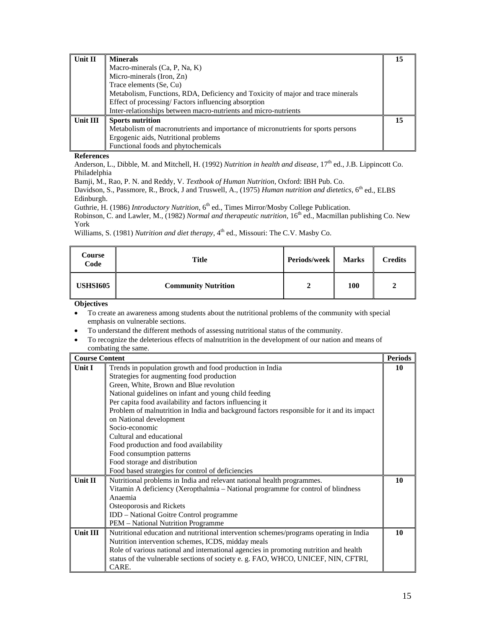| Unit II  | <b>Minerals</b>                                                                  |    |
|----------|----------------------------------------------------------------------------------|----|
|          | Macro-minerals (Ca, P, Na, K)                                                    |    |
|          | Micro-minerals (Iron, Zn)                                                        |    |
|          | Trace elements (Se, Cu)                                                          |    |
|          | Metabolism, Functions, RDA, Deficiency and Toxicity of major and trace minerals  |    |
|          | Effect of processing/Factors influencing absorption                              |    |
|          | Inter-relationships between macro-nutrients and micro-nutrients                  |    |
| Unit III | <b>Sports nutrition</b>                                                          | 15 |
|          | Metabolism of macronutrients and importance of micronutrients for sports persons |    |
|          | Ergogenic aids, Nutritional problems                                             |    |
|          | Functional foods and phytochemicals                                              |    |

Anderson, L., Dibble, M. and Mitchell, H. (1992) *Nutrition in health and disease*, 17<sup>th</sup> ed., J.B. Lippincott Co. Philadelphia

Bamji, M., Rao, P. N. and Reddy, V. *Textbook of Human Nutrition*, Oxford: IBH Pub. Co.

Davidson, S., Passmore, R., Brock, J and Truswell, A., (1975) *Human nutrition and dietetics*, 6<sup>th</sup> ed., ELBS Edinburgh.

Guthrie, H. (1986) *Introductory Nutrition*, 6<sup>th</sup> ed., Times Mirror/Mosby College Publication.

Robinson, C. and Lawler, M., (1982) *Normal and therapeutic nutrition*, 16<sup>th</sup> ed., Macmillan publishing Co. New York

Williams, S. (1981) *Nutrition and diet therapy*, 4<sup>th</sup> ed., Missouri: The C.V. Masby Co.

| Course<br>Code  | Title                      | Periods/week | <b>Marks</b> | <b>Credits</b> |
|-----------------|----------------------------|--------------|--------------|----------------|
| <b>USHSI605</b> | <b>Community Nutrition</b> |              | 100          |                |

**Objectives** 

• To create an awareness among students about the nutritional problems of the community with special emphasis on vulnerable sections.

• To understand the different methods of assessing nutritional status of the community.

• To recognize the deleterious effects of malnutrition in the development of our nation and means of combating the same.

| <b>Course Content</b> |                                                                                           | <b>Periods</b> |  |  |  |
|-----------------------|-------------------------------------------------------------------------------------------|----------------|--|--|--|
| Unit $I$              | Trends in population growth and food production in India                                  | 10             |  |  |  |
|                       | Strategies for augmenting food production                                                 |                |  |  |  |
|                       | Green, White, Brown and Blue revolution                                                   |                |  |  |  |
|                       | National guidelines on infant and young child feeding                                     |                |  |  |  |
|                       | Per capita food availability and factors influencing it                                   |                |  |  |  |
|                       | Problem of malnutrition in India and background factors responsible for it and its impact |                |  |  |  |
|                       | on National development                                                                   |                |  |  |  |
|                       | Socio-economic                                                                            |                |  |  |  |
|                       | Cultural and educational                                                                  |                |  |  |  |
|                       | Food production and food availability                                                     |                |  |  |  |
|                       | Food consumption patterns                                                                 |                |  |  |  |
|                       | Food storage and distribution                                                             |                |  |  |  |
|                       | Food based strategies for control of deficiencies                                         |                |  |  |  |
| Unit II               | Nutritional problems in India and relevant national health programmes.                    | 10             |  |  |  |
|                       | Vitamin A deficiency (Xeropthalmia – National programme for control of blindness          |                |  |  |  |
|                       | Anaemia                                                                                   |                |  |  |  |
|                       | Osteoporosis and Rickets                                                                  |                |  |  |  |
|                       | IDD - National Goitre Control programme                                                   |                |  |  |  |
|                       | PEM – National Nutrition Programme                                                        |                |  |  |  |
| <b>Unit III</b>       | Nutritional education and nutritional intervention schemes/programs operating in India    | 10             |  |  |  |
|                       | Nutrition intervention schemes, ICDS, midday meals                                        |                |  |  |  |
|                       | Role of various national and international agencies in promoting nutrition and health     |                |  |  |  |
|                       | status of the vulnerable sections of society e.g. FAO, WHCO, UNICEF, NIN, CFTRI,          |                |  |  |  |
|                       | CARE.                                                                                     |                |  |  |  |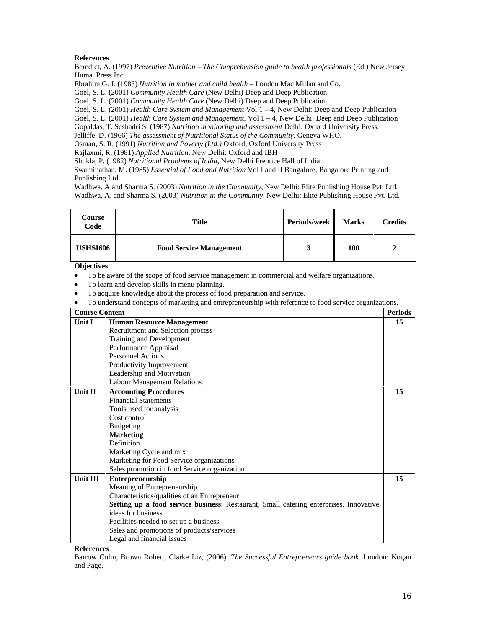Beredict, A. (1997) *Preventive Nutrition – The Comprehension guide to health professionals* (Ed.) New Jersey: Huma. Press Inc.

Ebrahim G. J. (1983) *Nutrition in mother and child health* – London Mac Millan and Co.

Goel, S. L. (2001) *Community Health Care* (New Delhi) Deep and Deep Publication

Goel, S. L. (2001) *Community Health Care* (New Delhi) Deep and Deep Publication

Goel, S. L. (2001) *Health Care System and Management* Vol 1 – 4, New Delhi: Deep and Deep Publication

Goel, S. L. (2001) *Health Care System and Management.* Vol 1 – 4, New Delhi: Deep and Deep Publication

Gopaldas, T. Seshadri S. (1987) *Nutrition monitoring and assessment* Delhi: Oxford University Press.

Jelliffe, D. (1966) *The assessment of Nutritional Status of the Community*. Geneva WHO.

Osman, S. R. (1991) *Nutrition and Poverty (Ltd.)* Oxford; Oxford University Press Rajlaxmi, R. (1981) *Applied Nutrition*, New Delhi: Oxford and IBH

Shukla, P. (1982) *Nutritional Problems of India*, New Delhi Prentice Hall of India.

Swaminathan, M. (1985) *Essential of Food and Nutrition* Vol I and II Bangalore, Bangalore Printing and Publishing Ltd.

Wadhwa, A and Sharma S. (2003) *Nutrition in the Community*, New Delhi: Elite Publishing House Pvt. Ltd. Wadhwa, A. and Sharma S. (2003) *Nutrition in the Community*. New Delhi: Elite Publishing House Pvt. Ltd.

| Course<br>Code | Title                          | Periods/week | <b>Marks</b> | <b>Credits</b> |
|----------------|--------------------------------|--------------|--------------|----------------|
| USHSI606       | <b>Food Service Management</b> | لہ ا         | 100          |                |

**Objectives** 

- To be aware of the scope of food service management in commercial and welfare organizations.
- To learn and develop skills in menu planning.

• To acquire knowledge about the process of food preparation and service.

• To understand concepts of marketing and entrepreneurship with reference to food service organizations.

| <b>Course Content</b> |                                                                                        | <b>Periods</b> |
|-----------------------|----------------------------------------------------------------------------------------|----------------|
| <b>Unit I</b>         | <b>Human Resource Management</b>                                                       | 15             |
|                       | Recruitment and Selection process                                                      |                |
|                       | Training and Development                                                               |                |
|                       | Performance Appraisal                                                                  |                |
|                       | <b>Personnel Actions</b>                                                               |                |
|                       | Productivity Improvement                                                               |                |
|                       | Leadership and Motivation                                                              |                |
|                       | <b>Labour Management Relations</b>                                                     |                |
| <b>Unit II</b>        | <b>Accounting Procedures</b>                                                           | 15             |
|                       | <b>Financial Statements</b>                                                            |                |
|                       | Tools used for analysis                                                                |                |
|                       | Cost control                                                                           |                |
|                       | <b>Budgeting</b>                                                                       |                |
|                       | <b>Marketing</b>                                                                       |                |
|                       | Definition                                                                             |                |
|                       | Marketing Cycle and mix                                                                |                |
|                       | Marketing for Food Service organizations                                               |                |
|                       | Sales promotion in food Service organization                                           |                |
| Unit III              | <b>Entrepreneurship</b>                                                                | 15             |
|                       | Meaning of Entrepreneurship                                                            |                |
|                       | Characteristics/qualities of an Entrepreneur                                           |                |
|                       | Setting up a food service business: Restaurant, Small catering enterprises, Innovative |                |
|                       | ideas for business                                                                     |                |
|                       | Facilities needed to set up a business                                                 |                |
|                       | Sales and promotions of products/services                                              |                |
|                       | Legal and financial issues                                                             |                |

**References** 

Barrow Colin, Brown Robert, Clarke Liz, (2006). *The Successful Entrepreneurs guide book*. London: Kogan and Page.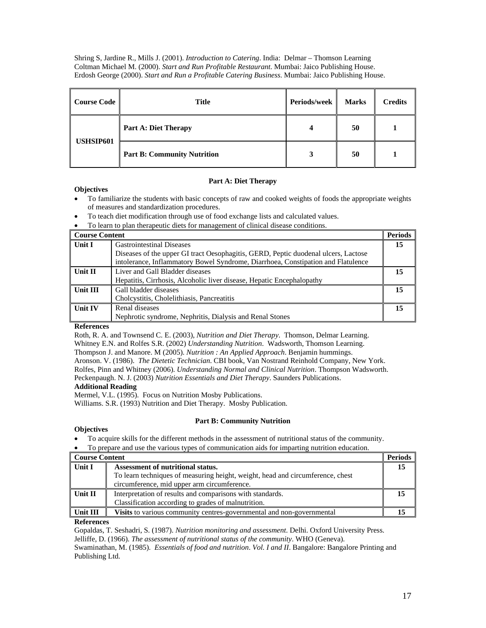Shring S, Jardine R., Mills J. (2001). *Introduction to Catering*. India: Delmar – Thomson Learning Coltman Michael M. (2000). *Start and Run Profitable Restaurant*. Mumbai: Jaico Publishing House. Erdosh George (2000). *Start and Run a Profitable Catering Business*. Mumbai: Jaico Publishing House.

| <b>Course Code</b> | <b>Title</b>                       | Periods/week | <b>Marks</b> | <b>Credits</b> |
|--------------------|------------------------------------|--------------|--------------|----------------|
| USHSIP601          | <b>Part A: Diet Therapy</b>        |              | 50           |                |
|                    | <b>Part B: Community Nutrition</b> | 3            | 50           |                |

## **Part A: Diet Therapy**

# **Objectives**

- To familiarize the students with basic concepts of raw and cooked weights of foods the appropriate weights of measures and standardization procedures.
- To teach diet modification through use of food exchange lists and calculated values.
- To learn to plan therapeutic diets for management of clinical disease conditions.

| <b>Course Content</b> |                                                                                    | <b>Periods</b> |
|-----------------------|------------------------------------------------------------------------------------|----------------|
| Unit I                | <b>Gastrointestinal Diseases</b>                                                   | 15             |
|                       | Diseases of the upper GI tract Oesophagitis, GERD, Peptic duodenal ulcers, Lactose |                |
|                       | intolerance, Inflammatory Bowel Syndrome, Diarrhoea, Constipation and Flatulence   |                |
| Unit II               | Liver and Gall Bladder diseases                                                    | 15             |
|                       | Hepatitis, Cirrhosis, Alcoholic liver disease, Hepatic Encephalopathy              |                |
| <b>Unit III</b>       | Gall bladder diseases                                                              | 15             |
|                       | Cholcystitis, Cholelithiasis, Pancreatitis                                         |                |
| <b>Unit IV</b>        | Renal diseases                                                                     | 15             |
|                       | Nephrotic syndrome, Nephritis, Dialysis and Renal Stones                           |                |

#### **References**

Roth, R. A. and Townsend C. E. (2003), *Nutrition and Diet Therapy*. Thomson, Delmar Learning. Whitney E.N. and Rolfes S.R. (2002) *Understanding Nutrition*. Wadsworth, Thomson Learning.

Thompson J. and Manore. M (2005). *Nutrition : An Applied Approach*. Benjamin hummings.

Aronson. V. (1986). *The Dietetic Technician*. CBI book, Van Nostrand Reinhold Company, New York. Rolfes, Pinn and Whitney (2006). *Understanding Normal and Clinical Nutrition*. Thompson Wadsworth. Peckenpaugh. N. J. (2003) *Nutrition Essentials and Diet Therapy*. Saunders Publications.

# **Additional Reading**

Mermel, V.L. (1995). Focus on Nutrition Mosby Publications.

Williams. S.R. (1993) Nutrition and Diet Therapy. Mosby Publication.

# **Part B: Community Nutrition**

# **Objectives**

- To acquire skills for the different methods in the assessment of nutritional status of the community.
- To prepare and use the various types of communication aids for imparting nutrition education.

| <b>Course Content</b> |                                                                                | Periods |
|-----------------------|--------------------------------------------------------------------------------|---------|
| Unit I                | Assessment of nutritional status.                                              | 15      |
|                       | To learn techniques of measuring height, weight, head and circumference, chest |         |
|                       | circumference, mid upper arm circumference.                                    |         |
| Unit II               | Interpretation of results and comparisons with standards.                      |         |
|                       | Classification according to grades of malnutrition.                            |         |
| Unit III              | <b>Visits</b> to various community centres-governmental and non-governmental   |         |

## **References**

Gopaldas, T. Seshadri, S. (1987). *Nutrition monitoring and assessment*. Delhi. Oxford University Press.

Jelliffe, D. (1966). *The assessment of nutritional status of the community*. WHO (Geneva).

Swaminathan, M. (1985). *Essentials of food and nutrition*. *Vol. I and II*. Bangalore: Bangalore Printing and Publishing Ltd.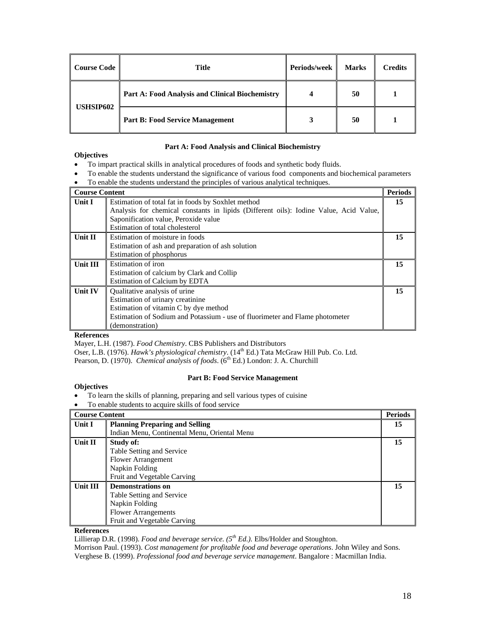| <b>Course Code</b> | Title                                           | <b>Periods/week</b> | <b>Marks</b> | <b>Credits</b> |
|--------------------|-------------------------------------------------|---------------------|--------------|----------------|
| USHSIP602          | Part A: Food Analysis and Clinical Biochemistry |                     | 50           |                |
|                    | <b>Part B: Food Service Management</b>          |                     | 50           |                |

# **Part A: Food Analysis and Clinical Biochemistry**

## **Objectives**

- To impart practical skills in analytical procedures of foods and synthetic body fluids.
- To enable the students understand the significance of various food components and biochemical parameters
- To enable the students understand the principles of various analytical techniques.

| <b>Course Content</b> |                                                                                       | <b>Periods</b> |
|-----------------------|---------------------------------------------------------------------------------------|----------------|
| Unit I                | Estimation of total fat in foods by Soxhlet method                                    | 15             |
|                       | Analysis for chemical constants in lipids (Different oils): Iodine Value, Acid Value, |                |
|                       | Saponification value, Peroxide value                                                  |                |
|                       | Estimation of total cholesterol                                                       |                |
| Unit II               | Estimation of moisture in foods                                                       | 15             |
|                       | Estimation of ash and preparation of ash solution                                     |                |
|                       | Estimation of phosphorus                                                              |                |
| Unit III              | Estimation of iron                                                                    | 15             |
|                       | Estimation of calcium by Clark and Collip                                             |                |
|                       | Estimation of Calcium by EDTA                                                         |                |
| Unit IV               | Qualitative analysis of urine                                                         | 15             |
|                       | Estimation of urinary creatinine                                                      |                |
|                       | Estimation of vitamin C by dye method                                                 |                |
|                       | Estimation of Sodium and Potassium - use of fluorimeter and Flame photometer          |                |
|                       | (demonstration)                                                                       |                |

## **References**

Mayer, L.H. (1987). *Food Chemistry*. CBS Publishers and Distributors Oser, L.B. (1976). *Hawk's physiological chemistry*. (14<sup>th</sup> Ed.) Tata McGraw Hill Pub. Co. Ltd.

Pearson, D. (1970). *Chemical analysis of foods*. (6<sup>th</sup> Ed.) London: J. A. Churchill

# **Part B: Food Service Management**

- **Objectives**  • To learn the skills of planning, preparing and sell various types of cuisine
- To enable students to acquire skills of food service

| <b>Course Content</b> |                                              | <b>Periods</b> |
|-----------------------|----------------------------------------------|----------------|
| Unit I                | <b>Planning Preparing and Selling</b>        | 15             |
|                       | Indian Menu, Continental Menu, Oriental Menu |                |
| Unit II               | Study of:                                    | 15             |
|                       | Table Setting and Service                    |                |
|                       | <b>Flower Arrangement</b>                    |                |
|                       | Napkin Folding                               |                |
|                       | Fruit and Vegetable Carving                  |                |
| Unit III              | <b>Demonstrations on</b>                     | 15             |
|                       | Table Setting and Service                    |                |
|                       | Napkin Folding                               |                |
|                       | <b>Flower Arrangements</b>                   |                |
|                       | Fruit and Vegetable Carving                  |                |

## **References**

Lillierap D.R. (1998). *Food and beverage service. (5th Ed.).* Elbs/Holder and Stoughton.

Morrison Paul. (1993). *Cost management for profitable food and beverage operations*. John Wiley and Sons. Verghese B. (1999). *Professional food and beverage service management*. Bangalore : Macmillan India.